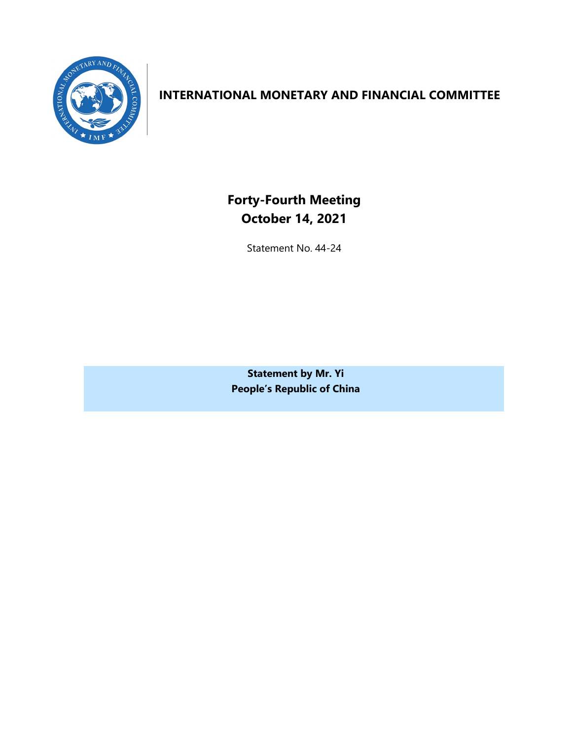

## **INTERNATIONAL MONETARY AND FINANCIAL COMMITTEE**

**Forty-Fourth Meeting October 14, 2021**

Statement No. 44-24

**Statement by Mr. Yi People's Republic of China**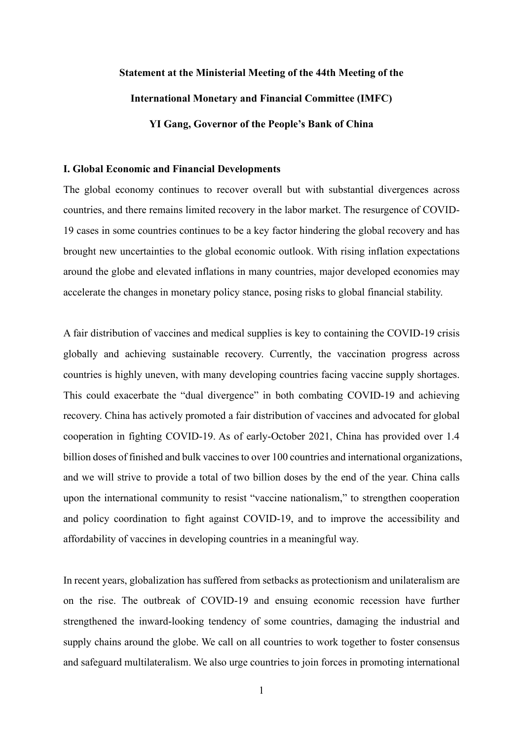# **Statement at the Ministerial Meeting of the 44th Meeting of the International Monetary and Financial Committee (IMFC) YI Gang, Governor of the People's Bank of China**

#### **I. Global Economic and Financial Developments**

The global economy continues to recover overall but with substantial divergences across countries, and there remains limited recovery in the labor market. The resurgence of COVID-19 cases in some countries continues to be a key factor hindering the global recovery and has brought new uncertainties to the global economic outlook. With rising inflation expectations around the globe and elevated inflations in many countries, major developed economies may accelerate the changes in monetary policy stance, posing risks to global financial stability.

A fair distribution of vaccines and medical supplies is key to containing the COVID-19 crisis globally and achieving sustainable recovery. Currently, the vaccination progress across countries is highly uneven, with many developing countries facing vaccine supply shortages. This could exacerbate the "dual divergence" in both combating COVID-19 and achieving recovery. China has actively promoted a fair distribution of vaccines and advocated for global cooperation in fighting COVID-19. As of early-October 2021, China has provided over 1.4 billion doses of finished and bulk vaccines to over 100 countries and international organizations, and we will strive to provide a total of two billion doses by the end of the year. China calls upon the international community to resist "vaccine nationalism," to strengthen cooperation and policy coordination to fight against COVID-19, and to improve the accessibility and affordability of vaccines in developing countries in a meaningful way.

In recent years, globalization has suffered from setbacks as protectionism and unilateralism are on the rise. The outbreak of COVID-19 and ensuing economic recession have further strengthened the inward-looking tendency of some countries, damaging the industrial and supply chains around the globe. We call on all countries to work together to foster consensus and safeguard multilateralism. We also urge countries to join forces in promoting international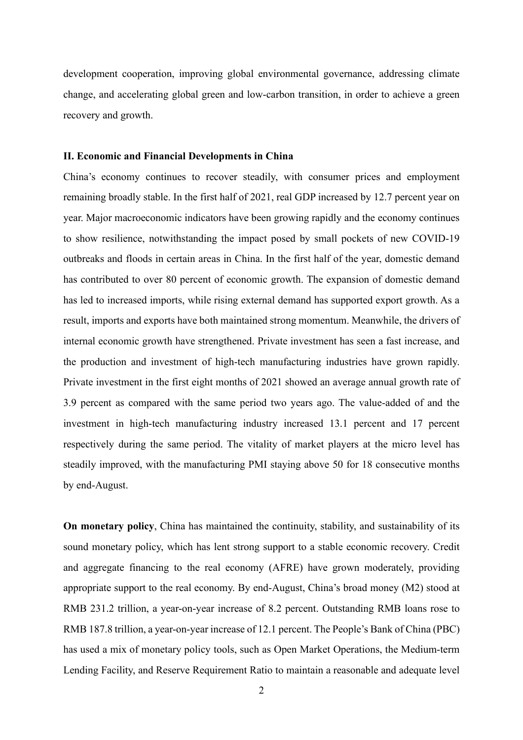development cooperation, improving global environmental governance, addressing climate change, and accelerating global green and low-carbon transition, in order to achieve a green recovery and growth.

### **II. Economic and Financial Developments in China**

China's economy continues to recover steadily, with consumer prices and employment remaining broadly stable. In the first half of 2021, real GDP increased by 12.7 percent year on year. Major macroeconomic indicators have been growing rapidly and the economy continues to show resilience, notwithstanding the impact posed by small pockets of new COVID-19 outbreaks and floods in certain areas in China. In the first half of the year, domestic demand has contributed to over 80 percent of economic growth. The expansion of domestic demand has led to increased imports, while rising external demand has supported export growth. As a result, imports and exports have both maintained strong momentum. Meanwhile, the drivers of internal economic growth have strengthened. Private investment has seen a fast increase, and the production and investment of high-tech manufacturing industries have grown rapidly. Private investment in the first eight months of 2021 showed an average annual growth rate of 3.9 percent as compared with the same period two years ago. The value-added of and the investment in high-tech manufacturing industry increased 13.1 percent and 17 percent respectively during the same period. The vitality of market players at the micro level has steadily improved, with the manufacturing PMI staying above 50 for 18 consecutive months by end-August.

**On monetary policy**, China has maintained the continuity, stability, and sustainability of its sound monetary policy, which has lent strong support to a stable economic recovery. Credit and aggregate financing to the real economy (AFRE) have grown moderately, providing appropriate support to the real economy. By end-August, China's broad money (M2) stood at RMB 231.2 trillion, a year-on-year increase of 8.2 percent. Outstanding RMB loans rose to RMB 187.8 trillion, a year-on-year increase of 12.1 percent. The People's Bank of China (PBC) has used a mix of monetary policy tools, such as Open Market Operations, the Medium-term Lending Facility, and Reserve Requirement Ratio to maintain a reasonable and adequate level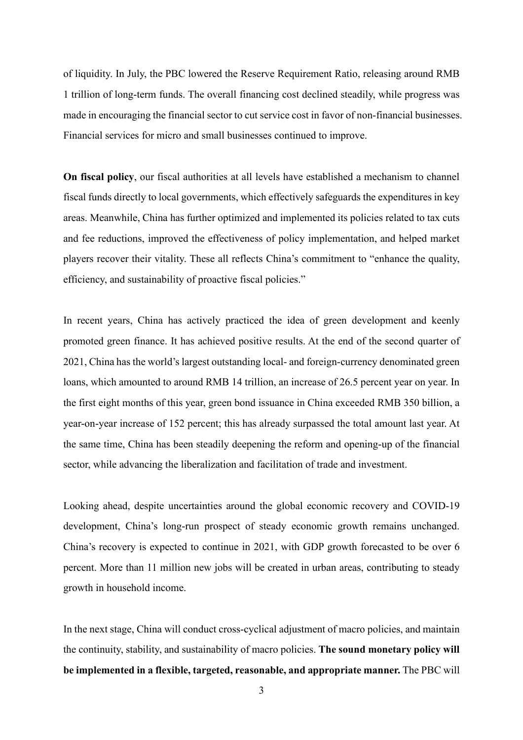of liquidity. In July, the PBC lowered the Reserve Requirement Ratio, releasing around RMB 1 trillion of long-term funds. The overall financing cost declined steadily, while progress was made in encouraging the financial sector to cut service cost in favor of non-financial businesses. Financial services for micro and small businesses continued to improve.

**On fiscal policy**, our fiscal authorities at all levels have established a mechanism to channel fiscal funds directly to local governments, which effectively safeguards the expenditures in key areas. Meanwhile, China has further optimized and implemented its policies related to tax cuts and fee reductions, improved the effectiveness of policy implementation, and helped market players recover their vitality. These all reflects China's commitment to "enhance the quality, efficiency, and sustainability of proactive fiscal policies."

In recent years, China has actively practiced the idea of green development and keenly promoted green finance. It has achieved positive results. At the end of the second quarter of 2021, China has the world's largest outstanding local- and foreign-currency denominated green loans, which amounted to around RMB 14 trillion, an increase of 26.5 percent year on year. In the first eight months of this year, green bond issuance in China exceeded RMB 350 billion, a year-on-year increase of 152 percent; this has already surpassed the total amount last year. At the same time, China has been steadily deepening the reform and opening-up of the financial sector, while advancing the liberalization and facilitation of trade and investment.

Looking ahead, despite uncertainties around the global economic recovery and COVID-19 development, China's long-run prospect of steady economic growth remains unchanged. China's recovery is expected to continue in 2021, with GDP growth forecasted to be over 6 percent. More than 11 million new jobs will be created in urban areas, contributing to steady growth in household income.

In the next stage, China will conduct cross-cyclical adjustment of macro policies, and maintain the continuity, stability, and sustainability of macro policies. **The sound monetary policy will be implemented in a flexible, targeted, reasonable, and appropriate manner.** The PBC will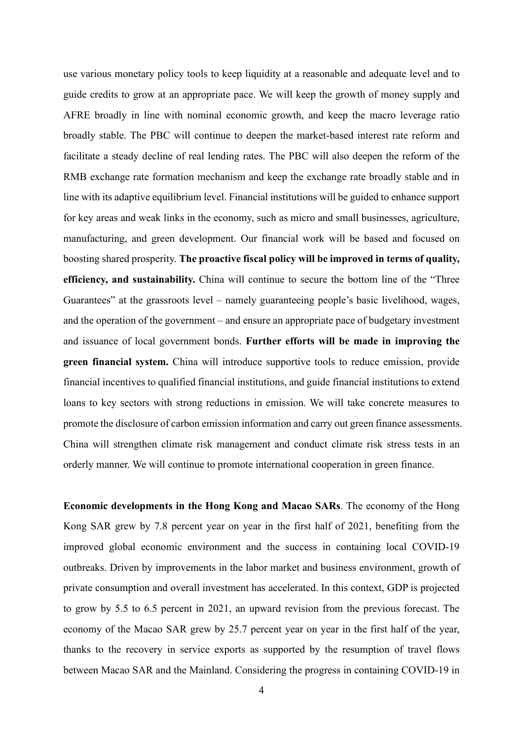use various monetary policy tools to keep liquidity at a reasonable and adequate level and to guide credits to grow at an appropriate pace. We will keep the growth of money supply and AFRE broadly in line with nominal economic growth, and keep the macro leverage ratio broadly stable. The PBC will continue to deepen the market-based interest rate reform and facilitate a steady decline of real lending rates. The PBC will also deepen the reform of the RMB exchange rate formation mechanism and keep the exchange rate broadly stable and in line with its adaptive equilibrium level. Financial institutions will be guided to enhance support for key areas and weak links in the economy, such as micro and small businesses, agriculture, manufacturing, and green development. Our financial work will be based and focused on boosting shared prosperity. **The proactive fiscal policy will be improved in terms of quality, efficiency, and sustainability.** China will continue to secure the bottom line of the "Three Guarantees" at the grassroots level – namely guaranteeing people's basic livelihood, wages, and the operation of the government – and ensure an appropriate pace of budgetary investment and issuance of local government bonds. **Further efforts will be made in improving the green financial system.** China will introduce supportive tools to reduce emission, provide financial incentives to qualified financial institutions, and guide financial institutions to extend loans to key sectors with strong reductions in emission. We will take concrete measures to promote the disclosure of carbon emission information and carry out green finance assessments. China will strengthen climate risk management and conduct climate risk stress tests in an orderly manner. We will continue to promote international cooperation in green finance.

**Economic developments in the Hong Kong and Macao SARs**. The economy of the Hong Kong SAR grew by 7.8 percent year on year in the first half of 2021, benefiting from the improved global economic environment and the success in containing local COVID-19 outbreaks. Driven by improvements in the labor market and business environment, growth of private consumption and overall investment has accelerated. In this context, GDP is projected to grow by 5.5 to 6.5 percent in 2021, an upward revision from the previous forecast. The economy of the Macao SAR grew by 25.7 percent year on year in the first half of the year, thanks to the recovery in service exports as supported by the resumption of travel flows between Macao SAR and the Mainland. Considering the progress in containing COVID-19 in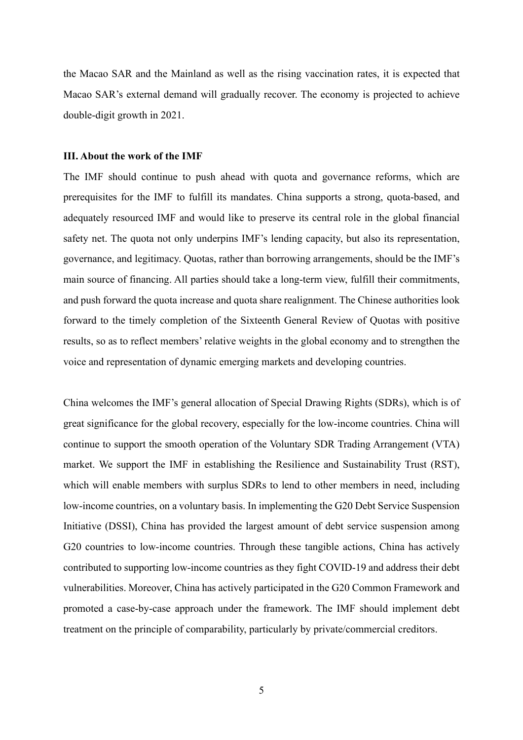the Macao SAR and the Mainland as well as the rising vaccination rates, it is expected that Macao SAR's external demand will gradually recover. The economy is projected to achieve double-digit growth in 2021.

#### **III. About the work of the IMF**

The IMF should continue to push ahead with quota and governance reforms, which are prerequisites for the IMF to fulfill its mandates. China supports a strong, quota-based, and adequately resourced IMF and would like to preserve its central role in the global financial safety net. The quota not only underpins IMF's lending capacity, but also its representation, governance, and legitimacy. Quotas, rather than borrowing arrangements, should be the IMF's main source of financing. All parties should take a long-term view, fulfill their commitments, and push forward the quota increase and quota share realignment. The Chinese authorities look forward to the timely completion of the Sixteenth General Review of Quotas with positive results, so as to reflect members' relative weights in the global economy and to strengthen the voice and representation of dynamic emerging markets and developing countries.

China welcomes the IMF's general allocation of Special Drawing Rights (SDRs), which is of great significance for the global recovery, especially for the low-income countries. China will continue to support the smooth operation of the Voluntary SDR Trading Arrangement (VTA) market. We support the IMF in establishing the Resilience and Sustainability Trust (RST), which will enable members with surplus SDRs to lend to other members in need, including low-income countries, on a voluntary basis. In implementing the G20 Debt Service Suspension Initiative (DSSI), China has provided the largest amount of debt service suspension among G20 countries to low-income countries. Through these tangible actions, China has actively contributed to supporting low-income countries as they fight COVID-19 and address their debt vulnerabilities. Moreover, China has actively participated in the G20 Common Framework and promoted a case-by-case approach under the framework. The IMF should implement debt treatment on the principle of comparability, particularly by private/commercial creditors.